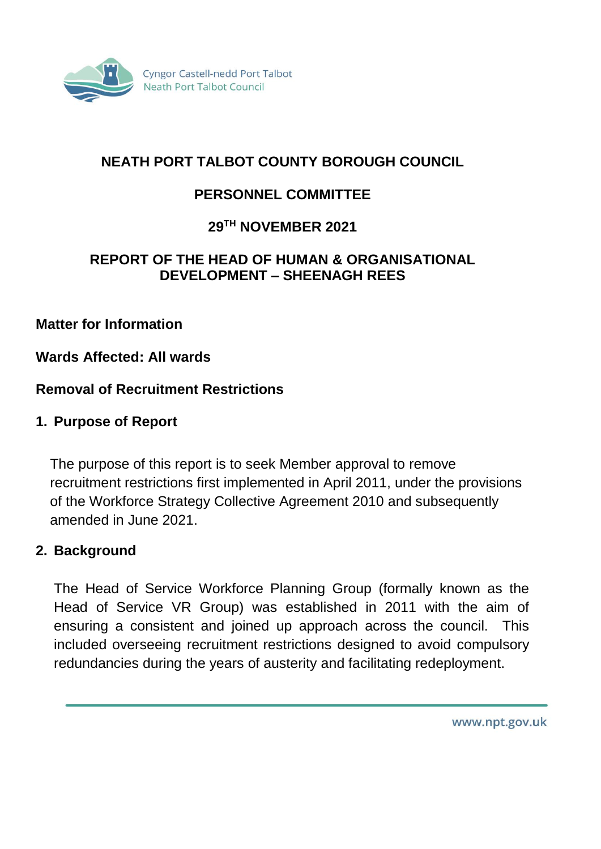

# **NEATH PORT TALBOT COUNTY BOROUGH COUNCIL**

# **PERSONNEL COMMITTEE**

## **29TH NOVEMBER 2021**

#### **REPORT OF THE HEAD OF HUMAN & ORGANISATIONAL DEVELOPMENT – SHEENAGH REES**

#### **Matter for Information**

#### **Wards Affected: All wards**

#### **Removal of Recruitment Restrictions**

#### **1. Purpose of Report**

The purpose of this report is to seek Member approval to remove recruitment restrictions first implemented in April 2011, under the provisions of the Workforce Strategy Collective Agreement 2010 and subsequently amended in June 2021.

#### **2. Background**

The Head of Service Workforce Planning Group (formally known as the Head of Service VR Group) was established in 2011 with the aim of ensuring a consistent and joined up approach across the council. This included overseeing recruitment restrictions designed to avoid compulsory redundancies during the years of austerity and facilitating redeployment.

www.npt.gov.uk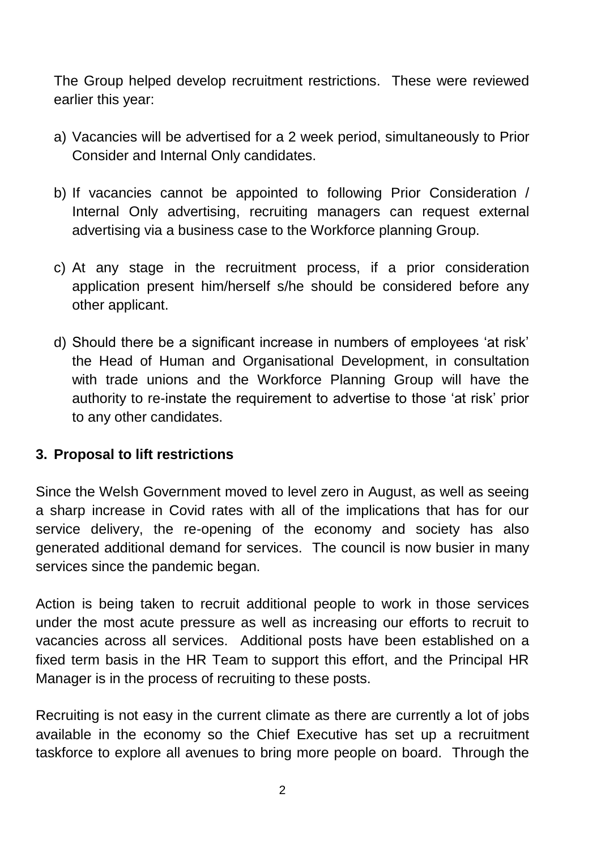The Group helped develop recruitment restrictions. These were reviewed earlier this year:

- a) Vacancies will be advertised for a 2 week period, simultaneously to Prior Consider and Internal Only candidates.
- b) If vacancies cannot be appointed to following Prior Consideration / Internal Only advertising, recruiting managers can request external advertising via a business case to the Workforce planning Group.
- c) At any stage in the recruitment process, if a prior consideration application present him/herself s/he should be considered before any other applicant.
- d) Should there be a significant increase in numbers of employees 'at risk' the Head of Human and Organisational Development, in consultation with trade unions and the Workforce Planning Group will have the authority to re-instate the requirement to advertise to those 'at risk' prior to any other candidates.

## **3. Proposal to lift restrictions**

Since the Welsh Government moved to level zero in August, as well as seeing a sharp increase in Covid rates with all of the implications that has for our service delivery, the re-opening of the economy and society has also generated additional demand for services. The council is now busier in many services since the pandemic began.

Action is being taken to recruit additional people to work in those services under the most acute pressure as well as increasing our efforts to recruit to vacancies across all services. Additional posts have been established on a fixed term basis in the HR Team to support this effort, and the Principal HR Manager is in the process of recruiting to these posts.

Recruiting is not easy in the current climate as there are currently a lot of jobs available in the economy so the Chief Executive has set up a recruitment taskforce to explore all avenues to bring more people on board. Through the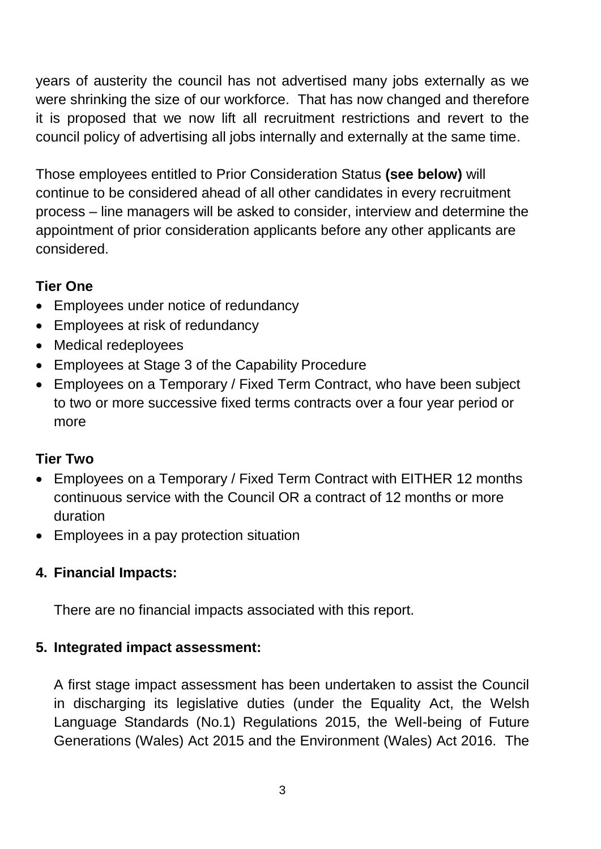years of austerity the council has not advertised many jobs externally as we were shrinking the size of our workforce. That has now changed and therefore it is proposed that we now lift all recruitment restrictions and revert to the council policy of advertising all jobs internally and externally at the same time.

Those employees entitled to Prior Consideration Status **(see below)** will continue to be considered ahead of all other candidates in every recruitment process – line managers will be asked to consider, interview and determine the appointment of prior consideration applicants before any other applicants are considered.

# **Tier One**

- Employees under notice of redundancy
- Employees at risk of redundancy
- Medical redeployees
- Employees at Stage 3 of the Capability Procedure
- Employees on a Temporary / Fixed Term Contract, who have been subject to two or more successive fixed terms contracts over a four year period or more

## **Tier Two**

- Employees on a Temporary / Fixed Term Contract with EITHER 12 months continuous service with the Council OR a contract of 12 months or more duration
- Employees in a pay protection situation

## **4. Financial Impacts:**

There are no financial impacts associated with this report.

## **5. Integrated impact assessment:**

A first stage impact assessment has been undertaken to assist the Council in discharging its legislative duties (under the Equality Act, the Welsh Language Standards (No.1) Regulations 2015, the Well-being of Future Generations (Wales) Act 2015 and the Environment (Wales) Act 2016. The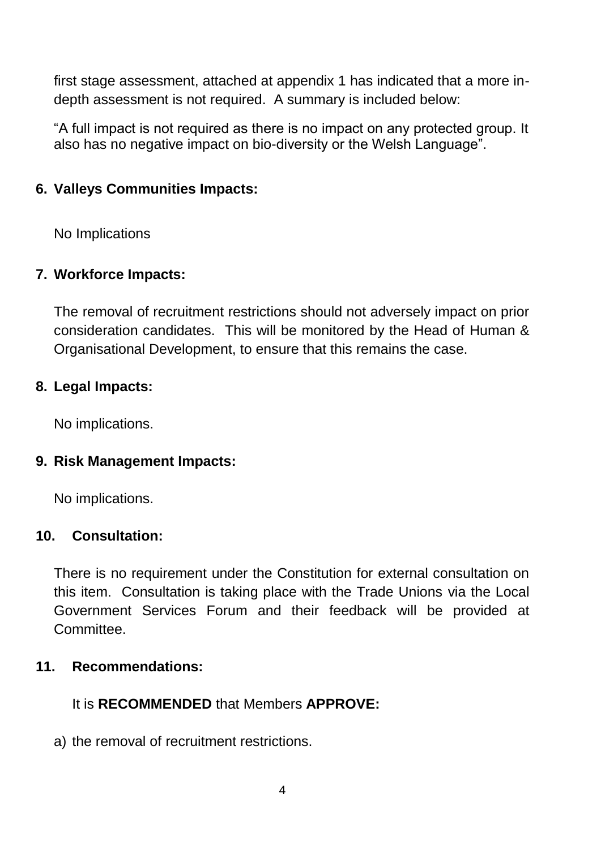first stage assessment, attached at appendix 1 has indicated that a more indepth assessment is not required. A summary is included below:

"A full impact is not required as there is no impact on any protected group. It also has no negative impact on bio-diversity or the Welsh Language".

## **6. Valleys Communities Impacts:**

No Implications

## **7. Workforce Impacts:**

The removal of recruitment restrictions should not adversely impact on prior consideration candidates. This will be monitored by the Head of Human & Organisational Development, to ensure that this remains the case.

## **8. Legal Impacts:**

No implications.

## **9. Risk Management Impacts:**

No implications.

## **10. Consultation:**

There is no requirement under the Constitution for external consultation on this item. Consultation is taking place with the Trade Unions via the Local Government Services Forum and their feedback will be provided at Committee.

#### **11. Recommendations:**

## It is **RECOMMENDED** that Members **APPROVE:**

a) the removal of recruitment restrictions.